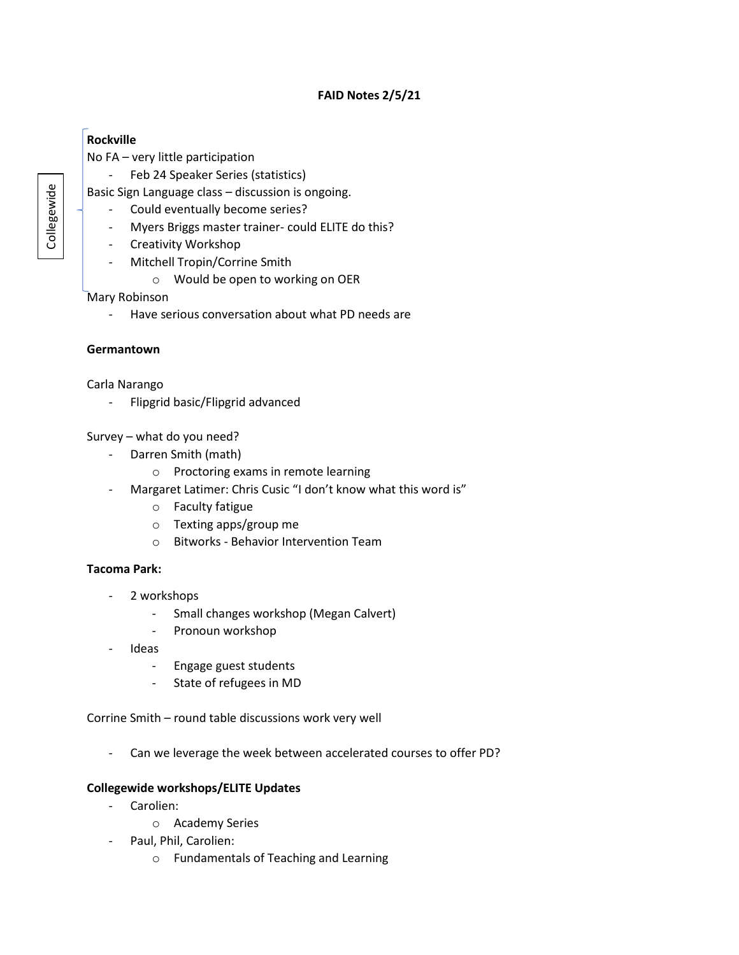## **FAID Notes 2/5/21**

# **Rockville**

No FA – very little participation

- Feb 24 Speaker Series (statistics)

Basic Sign Language class – discussion is ongoing.

- Could eventually become series?
- Myers Briggs master trainer- could ELITE do this?
- Creativity Workshop
- Mitchell Tropin/Corrine Smith
	- o Would be open to working on OER

Mary Robinson

- Have serious conversation about what PD needs are

## **Germantown**

Carla Narango

- Flipgrid basic/Flipgrid advanced

## Survey – what do you need?

- Darren Smith (math)
	- o Proctoring exams in remote learning
- Margaret Latimer: Chris Cusic "I don't know what this word is"
	- o Faculty fatigue
	- o Texting apps/group me
	- o Bitworks Behavior Intervention Team

# **Tacoma Park:**

- 2 workshops
	- Small changes workshop (Megan Calvert)
	- Pronoun workshop
- Ideas
	- Engage guest students
	- State of refugees in MD

Corrine Smith – round table discussions work very well

- Can we leverage the week between accelerated courses to offer PD?

# **Collegewide workshops/ELITE Updates**

- Carolien:
	- o Academy Series
- Paul, Phil, Carolien:
	- o Fundamentals of Teaching and Learning

Collegewide Collegewide